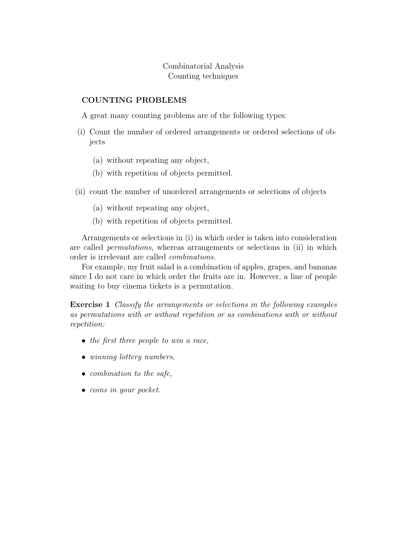## Combinatorial Analysis Counting techniques

## COUNTING PROBLEMS

A great many counting problems are of the following types:

- (i) Count the number of ordered arrangements or ordered selections of objects
	- (a) without repeating any object,
	- (b) with repetition of objects permitted.
- (ii) count the number of unordered arrangements or selections of objects
	- (a) without repeating any object,
	- (b) with repetition of objects permitted.

Arrangements or selections in (i) in which order is taken into consideration are called permutations, whereas arrangements or selections in (ii) in which order is irrelevant are called combinations.

For example, my fruit salad is a combination of apples, grapes, and bananas since I do not care in which order the fruits are in. However, a line of people waiting to buy cinema tickets is a permutation.

Exercise 1 Classify the arrangements or selections in the following examples as permutations with or without repetition or as combinations with or without repetition:

- the first three people to win a race,
- winning lottery numbers,
- combination to the safe,
- coins in your pocket.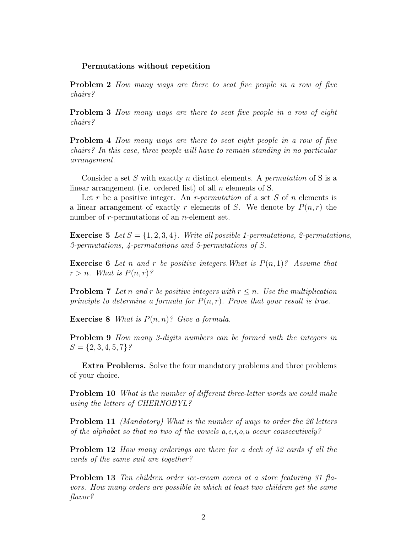## Permutations without repetition

**Problem 2** How many ways are there to seat five people in a row of five chairs?

**Problem 3** How many ways are there to seat five people in a row of eight chairs?

**Problem 4** How many ways are there to seat eight people in a row of five chairs? In this case, three people will have to remain standing in no particular arrangement.

Consider a set S with exactly n distinct elements. A *permutation* of S is a linear arrangement (i.e. ordered list) of all  $n$  elements of S.

Let r be a positive integer. An r-permutation of a set S of n elements is a linear arrangement of exactly r elements of S. We denote by  $P(n,r)$  the number of *r*-permutations of an *n*-element set.

**Exercise 5** Let  $S = \{1, 2, 3, 4\}$ . Write all possible 1-permutations, 2-permutations, 3-permutations, 4-permutations and 5-permutations of S.

**Exercise 6** Let n and r be positive integers. What is  $P(n, 1)$ ? Assume that  $r > n$ . What is  $P(n,r)$ ?

**Problem 7** Let n and r be positive integers with  $r \leq n$ . Use the multiplication principle to determine a formula for  $P(n, r)$ . Prove that your result is true.

**Exercise 8** What is  $P(n, n)$ ? Give a formula.

Problem 9 How many 3-digits numbers can be formed with the integers in  $S = \{2, 3, 4, 5, 7\}$ ?

Extra Problems. Solve the four mandatory problems and three problems of your choice.

**Problem 10** What is the number of different three-letter words we could make using the letters of CHERNOBYL?

**Problem 11** (Mandatory) What is the number of ways to order the 26 letters of the alphabet so that no two of the vowels  $a,e,i,o,u$  occur consecutively?

**Problem 12** How many orderings are there for a deck of 52 cards if all the cards of the same suit are together?

**Problem 13** Ten children order ice-cream cones at a store featuring 31 flavors. How many orders are possible in which at least two children get the same flavor?